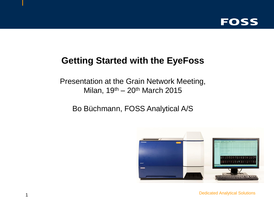

# **Getting Started with the EyeFoss**

Presentation at the Grain Network Meeting, Milan,  $19<sup>th</sup> - 20<sup>th</sup>$  March 2015

Bo Büchmann, FOSS Analytical A/S



Dedicated Analytical Solutions 1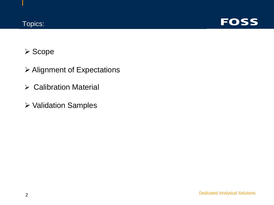

## **≻ Scope**

- Alignment of Expectations
- Calibration Material
- Validation Samples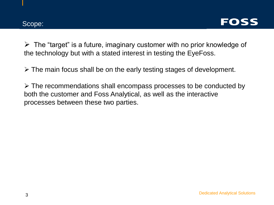

 $\triangleright$  The "target" is a future, imaginary customer with no prior knowledge of the technology but with a stated interest in testing the EyeFoss.

 $\triangleright$  The main focus shall be on the early testing stages of development.

 The recommendations shall encompass processes to be conducted by both the customer and Foss Analytical, as well as the interactive processes between these two parties.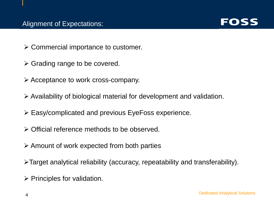

- $\triangleright$  Commercial importance to customer.
- $\triangleright$  Grading range to be covered.
- $\triangleright$  Acceptance to work cross-company.
- $\triangleright$  Availability of biological material for development and validation.
- Easy/complicated and previous EyeFoss experience.
- Official reference methods to be observed.
- $\triangleright$  Amount of work expected from both parties
- Target analytical reliability (accuracy, repeatability and transferability).
- $\triangleright$  Principles for validation.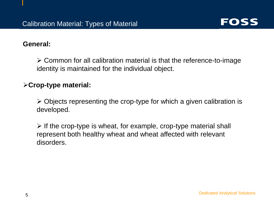

#### **General:**

 $\geq$  Common for all calibration material is that the reference-to-image identity is maintained for the individual object.

#### **Crop-type material:**

 $\triangleright$  Objects representing the crop-type for which a given calibration is developed.

 $\triangleright$  If the crop-type is wheat, for example, crop-type material shall represent both healthy wheat and wheat affected with relevant disorders.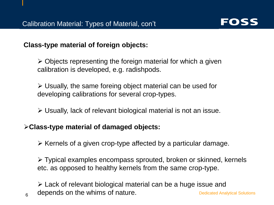

**Class-type material of foreign objects:**

 $\triangleright$  Objects representing the foreign material for which a given calibration is developed, e.g. radishpods.

 $\triangleright$  Usually, the same foreing object material can be used for developing calibrations for several crop-types.

Usually, lack of relevant biological material is not an issue.

#### **Class-type material of damaged objects:**

 $\triangleright$  Kernels of a given crop-type affected by a particular damage.

 Typical examples encompass sprouted, broken or skinned, kernels etc. as opposed to healthy kernels from the same crop-type.

 $6$  depends on the whims of nature.  $\blacksquare$  Dedicated Analytical Solutions Lack of relevant biological material can be a huge issue and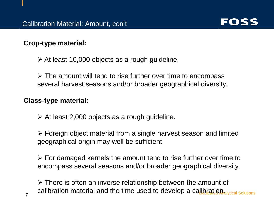

## **Crop-type material:**

 $\triangleright$  At least 10,000 objects as a rough guideline.

 $\triangleright$  The amount will tend to rise further over time to encompass several harvest seasons and/or broader geographical diversity.

### **Class-type material:**

 $\triangleright$  At least 2,000 objects as a rough guideline.

 Foreign object material from a single harvest season and limited geographical origin may well be sufficient.

 $\triangleright$  For damaged kernels the amount tend to rise further over time to encompass several seasons and/or broader geographical diversity.

Calibration material and the time used to develop a cappical Solutions 7  $\triangleright$  There is often an inverse relationship between the amount of calibration material and the time used to develop a calibration.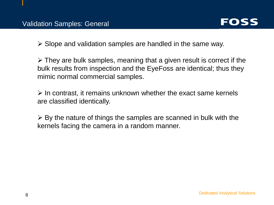

 $\triangleright$  Slope and validation samples are handled in the same way.

 $\triangleright$  They are bulk samples, meaning that a given result is correct if the bulk results from inspection and the EyeFoss are identical; thus they mimic normal commercial samples.

 $\triangleright$  In contrast, it remains unknown whether the exact same kernels are classified identically.

 $\triangleright$  By the nature of things the samples are scanned in bulk with the kernels facing the camera in a random manner.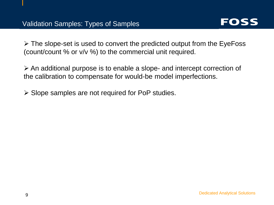

 $\triangleright$  The slope-set is used to convert the predicted output from the EyeFoss (count/count % or v/v %) to the commercial unit required.

 $\triangleright$  An additional purpose is to enable a slope- and intercept correction of the calibration to compensate for would-be model imperfections.

 $\triangleright$  Slope samples are not required for PoP studies.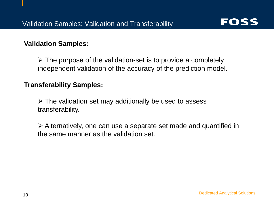

#### **Validation Samples:**

 $\triangleright$  The purpose of the validation-set is to provide a completely independent validation of the accuracy of the prediction model.

#### **Transferability Samples:**

 $\triangleright$  The validation set may additionally be used to assess transferability.

 Alternatively, one can use a separate set made and quantified in the same manner as the validation set.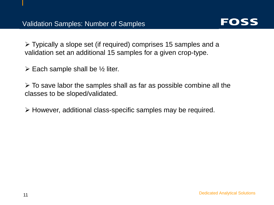

 Typically a slope set (if required) comprises 15 samples and a validation set an additional 15 samples for a given crop-type.

 $\triangleright$  Each sample shall be  $\frac{1}{2}$  liter.

 $\triangleright$  To save labor the samples shall as far as possible combine all the classes to be sloped/validated.

However, additional class-specific samples may be required.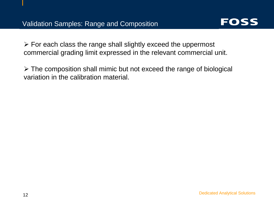

 $\triangleright$  For each class the range shall slightly exceed the uppermost commercial grading limit expressed in the relevant commercial unit.

 $\triangleright$  The composition shall mimic but not exceed the range of biological variation in the calibration material.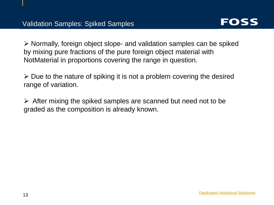

 $\triangleright$  Normally, foreign object slope- and validation samples can be spiked by mixing pure fractions of the pure foreign object material with NotMaterial in proportions covering the range in question.

 $\triangleright$  Due to the nature of spiking it is not a problem covering the desired range of variation.

 $\triangleright$  After mixing the spiked samples are scanned but need not to be graded as the composition is already known.